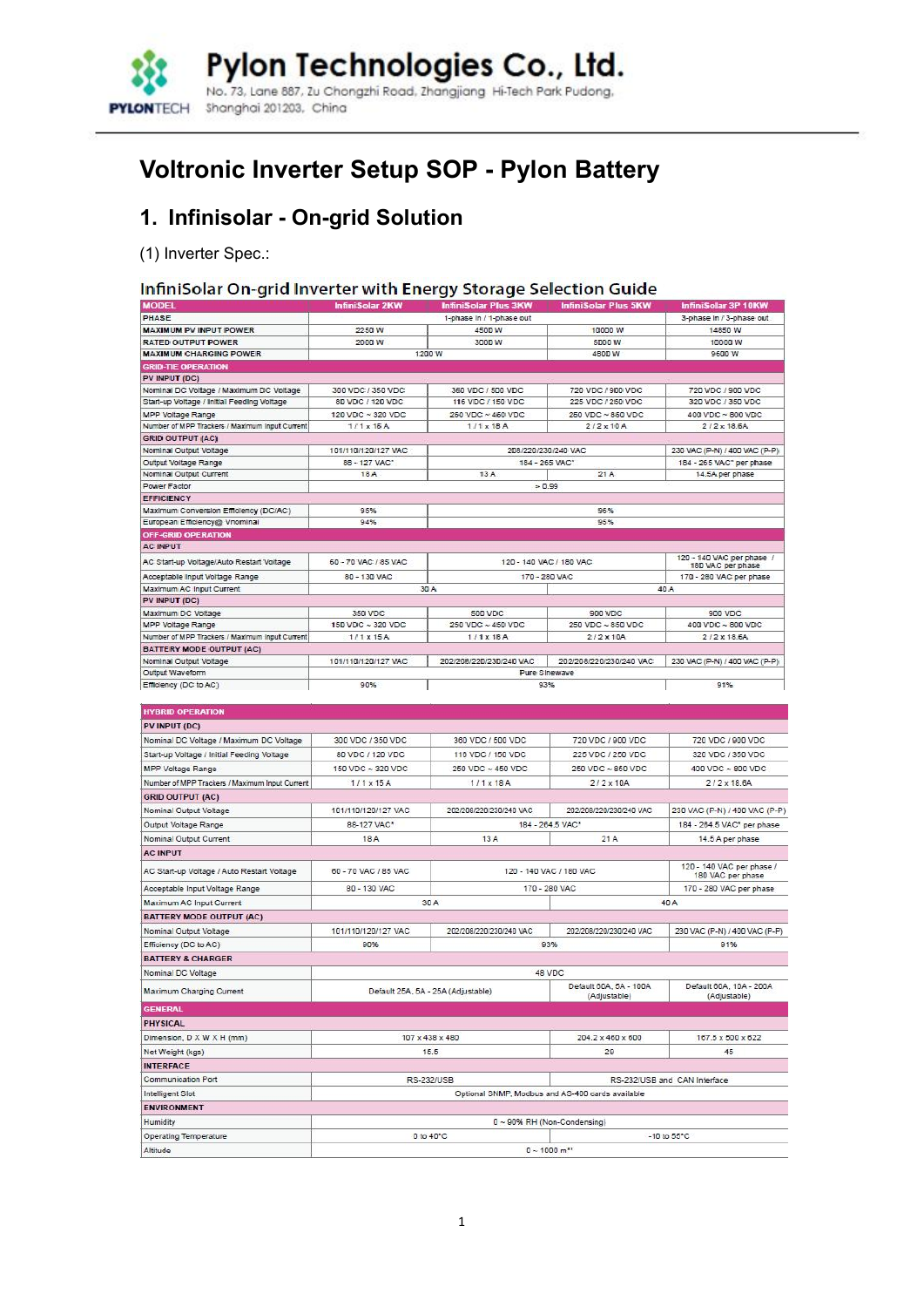

# **Voltronic Inverter Setup SOP - Pylon Battery**

## **1. Infinisolar - On-grid Solution**

(1) Inverter Spec.:

### InfiniSolar On-grid Inverter with Energy Storage Selection Guide

| <b>MODEL</b>                                      | <b>InfiniSolar 2KW</b> | <b>InfiniSolar Plus 3KW</b>        | <b>InfiniSolar Plus 5KW</b>                      | <b>InfiniSolar 3P 10KW</b>                     |
|---------------------------------------------------|------------------------|------------------------------------|--------------------------------------------------|------------------------------------------------|
| PHASE                                             |                        | 1-phase in / 1-phase out           |                                                  | 3-phase In / 3-phase out                       |
| <b>MAXIMUM PV INPUT POWER</b>                     | 2250 W                 | 4500 W                             | 10000 W                                          | 14850 W                                        |
| <b>RATED OUTPUT POWER</b>                         | 2000 W                 | 3000 W                             | 5000 W                                           | 10000 W                                        |
| <b>MAXIMUM CHARGING POWER</b>                     |                        | 1200 W                             | 4800 W                                           | 9600 W                                         |
| <b>GRID-TIE OPERATION</b>                         |                        |                                    |                                                  |                                                |
| PV INPUT (DC)                                     |                        |                                    |                                                  |                                                |
| Nominal DC Voltage / Maximum DC Voltage           | 300 VDC / 350 VDC      | 360 VDC / 500 VDC                  | 720 VDC / 900 VDC                                | 720 VDC / 900 VDC                              |
| Start-up Voltage / Initial Feeding Voltage        | 80 VDC / 120 VDC       | 116 VDC / 150 VDC                  | 225 VDC / 250 VDC                                | 320 VDC / 350 VDC                              |
| MPP Voltage Range                                 | 120 VDC ~ 320 VDC      | 250 VDC ~ 450 VDC                  | 250 VDC ~ 850 VDC                                | 400 VDC ~ 800 VDC                              |
| Number of MPP Trackers / Maximum Input Current    | $1/1 \times 15A$       | $1/1 \times 18A$                   | $2/2 \times 10$ A                                | $2/2 \times 18.6A$                             |
| <b>GRID OUTPUT (AC)</b><br>Nominal Output Voltage | 101/110/120/127 VAC    | 208/220/230/240 VAC                |                                                  | 230 VAC (P-N) / 400 VAC (P-P)                  |
| Output Voltage Range                              | 88 - 127 VAC*          | 184 - 265 VAC                      |                                                  | 184 - 265 VAC* per phase                       |
| Nominal Output Current                            | 18 A                   | 13A                                | 21A                                              | 14.5A per phase                                |
| <b>Power Factor</b>                               |                        | $= 0.99$                           |                                                  |                                                |
| <b>EFFICIENCY</b>                                 |                        |                                    |                                                  |                                                |
| Maximum Conversion Efficiency (DC/AC)             | 95%                    |                                    | 96%                                              |                                                |
| European Efficiency@ Vnominal                     | 94%                    |                                    | 95%                                              |                                                |
| <b>OFF-GRID OPERATION</b>                         |                        |                                    |                                                  |                                                |
| <b>AC INPUT</b>                                   |                        |                                    |                                                  |                                                |
| AC Start-up Voltage/Auto Restart Voltage          | 60 - 70 VAC / 85 VAC   |                                    | 120 - 140 VAC / 180 VAC                          | 120 - 140 VAC per phase /<br>180 VAC per phase |
| Acceptable Input Voltage Range                    | 80 - 130 VAC           | 170 - 280 VAC                      |                                                  | 170 - 280 VAC per phase                        |
| Maximum AC Input Current                          |                        | 30 A                               |                                                  | 40 A                                           |
| PV INPUT (DC)                                     |                        |                                    |                                                  |                                                |
| Maximum DC Voltage                                | 350 VDC                | 500 VDC                            | 900 VDC                                          | 900 VDC                                        |
| MPP Voltage Range                                 | 150 VDC ~ 320 VDC      | 250 VDC ~ 450 VDC                  | 250 VDC ~ 850 VDC                                | 400 VDC ~ 800 VDC                              |
| Number of MPP Trackers / Maximum input Current    | $1/1$ $x$ $15A$        | $1/1$ $\times$ 18 A                | $2/2 \times 10A$                                 | 2/2 x 18.6A                                    |
| <b>BATTERY MODE OUTPUT (AC)</b>                   |                        |                                    |                                                  |                                                |
| Nominal Output Voltage                            | 101/110/120/127 VAC    | 202/208/220/230/240 VAC            | 202/208/220/230/240 VAC                          | 230 VAC (P-N) / 400 VAC (P-P)                  |
| Output Waveform                                   |                        | Pure Sinewave                      |                                                  |                                                |
| Efficiency (DC to AC)                             | 90%                    | 93%                                |                                                  | 91%                                            |
|                                                   |                        |                                    |                                                  |                                                |
| <b>HYBRID OPERATION</b>                           |                        |                                    |                                                  |                                                |
| PV INPUT (DC)                                     |                        |                                    |                                                  |                                                |
| Nominal DC Voltage / Maximum DC Voltage           | 300 VDC / 350 VDC      | 360 VDC / 500 VDC                  | 720 VDC / 900 VDC                                | 720 VDC / 900 VDC                              |
| Start-up Voltage / Initial Feeding Voltage        | 80 VDC / 120 VDC       | 116 VDC / 150 VDC                  | 225 VDC / 250 VDC                                | 320 VDC / 350 VDC                              |
| MPP Voltage Range                                 | 150 VDC ~ 320 VDC      | 250 VDC ~ 450 VDC                  | 250 VDC ~ 850 VDC                                | 400 VDC ~ 800 VDC                              |
| Number of MPP Trackers / Maximum Input Current    | $1/1 \times 15A$       | $1/1 \times 18A$                   | $2/2 \times 10A$                                 | $2/2 \times 18.6A$                             |
| <b>GRID OUTPUT (AC)</b>                           |                        |                                    |                                                  |                                                |
| Nominal Output Voltage                            | 101/110/120/127 VAC    | 202/208/220/230/240 VAC            | 202/208/220/230/240 VAC                          | 230 VAC (P-N) / 400 VAC (P-P)                  |
| Output Voltage Range                              | 88-127 VAC*            |                                    | 184 - 264.5 VAC*                                 | 184 - 264.5 VAC* per phase                     |
| Nominal Output Current                            | 18 A                   | 13A                                | 21A                                              | 14.5 A per phase                               |
|                                                   |                        |                                    |                                                  |                                                |
| <b>AC INPUT</b>                                   |                        |                                    |                                                  |                                                |
| AC Start-up Voltage / Auto Restart Voltage        | 60 - 70 VAC / 85 VAC   |                                    | 120 - 140 VAC / 180 VAC                          | 120 - 140 VAC per phase /<br>180 VAC per phase |
| Acceptable Input Voltage Range                    | 80 - 130 VAC           |                                    | 170 - 280 VAC                                    | 170 - 280 VAC per phase                        |
| Maximum AC Input Current                          |                        | 30 A                               |                                                  | 40 A                                           |
| <b>BATTERY MODE OUTPUT (AC)</b>                   |                        |                                    |                                                  |                                                |
| Nominal Output Voltage                            | 101/110/120/127 VAC    | 202/208/220/230/240 VAC            | 202/208/220/230/240 VAC                          | 230 VAC (P-N) / 400 VAC (P-P)                  |
|                                                   | 90%                    |                                    | 93%                                              | 91%                                            |
| Efficiency (DC to AC)                             |                        |                                    |                                                  |                                                |
| <b>BATTERY &amp; CHARGER</b>                      |                        |                                    |                                                  |                                                |
| Nominal DC Voltage                                |                        |                                    | 48 VDC                                           |                                                |
| Maximum Charging Current                          |                        | Default 25A, 5A - 25A (Adjustable) | Default 60A, 5A - 100A<br>(Adjustable)           | Default 60A, 10A - 200A<br>(Adjustable)        |
| <b>GENERAL</b>                                    |                        |                                    |                                                  |                                                |
| PHYSICAL                                          |                        |                                    |                                                  |                                                |
| Dimension, D X W X H (mm)                         |                        | 107 x 438 x 480                    | 204.2 x 460 x 600                                | 167.5 x 500 x 622                              |
| Net Weight (kgs)                                  |                        | 15.5                               | 29                                               | 45                                             |
| <b>INTERFACE</b>                                  |                        |                                    |                                                  |                                                |
| <b>Communication Port</b>                         |                        | <b>RS-232/USB</b>                  |                                                  | RS-232/USB and CAN Interface                   |
| Intelligent Slot                                  |                        |                                    | Optional SNMP, Modbus and AS-400 cards available |                                                |
| <b>ENVIRONMENT</b>                                |                        |                                    |                                                  |                                                |
|                                                   |                        |                                    |                                                  |                                                |
| Humidity                                          |                        |                                    | $0 \sim 90\%$ RH (Non-Condensing)                |                                                |
| <b>Operating Temperature</b>                      |                        | 0 to 40°C                          | $0.4000 - 11$                                    | $-10$ to $55^{\circ}$ C                        |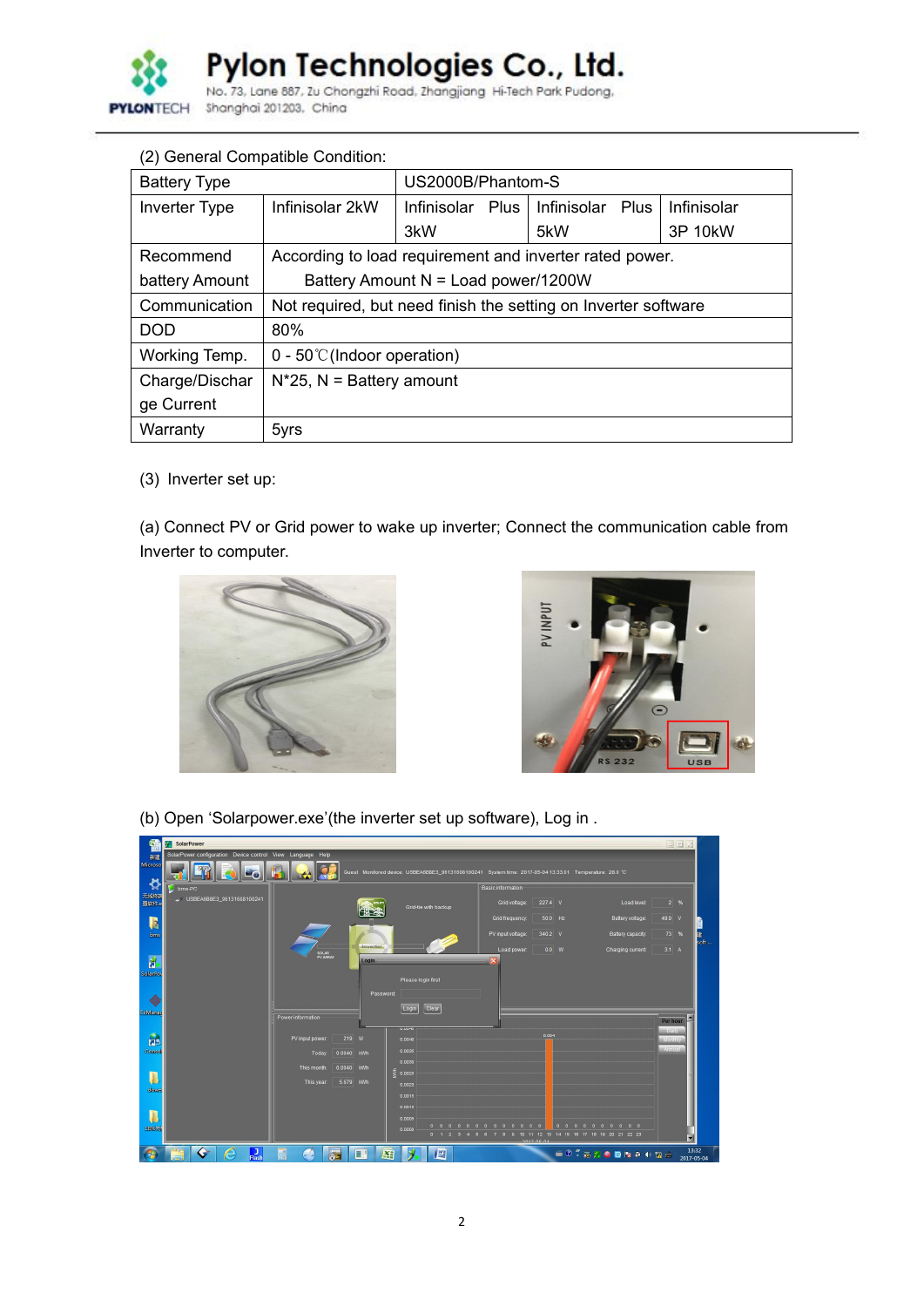

Pylon Technologies Co., Ltd.<br>No. 73, Lane 887, Zu Chongzhi Road, Zhangjiang Hi-Tech Park Pudong.

|                      | (2) General Compatible Condition:                              |                                                         |             |      |             |  |  |
|----------------------|----------------------------------------------------------------|---------------------------------------------------------|-------------|------|-------------|--|--|
| <b>Battery Type</b>  |                                                                | US2000B/Phantom-S                                       |             |      |             |  |  |
| <b>Inverter Type</b> | Infinisolar 2kW                                                | Plus<br>Infinisolar                                     | Infinisolar | Plus | Infinisolar |  |  |
|                      |                                                                | 3kW                                                     | 5kW         |      | 3P 10kW     |  |  |
| Recommend            |                                                                | According to load requirement and inverter rated power. |             |      |             |  |  |
| battery Amount       |                                                                | Battery Amount N = Load power/1200W                     |             |      |             |  |  |
| Communication        | Not required, but need finish the setting on Inverter software |                                                         |             |      |             |  |  |
| <b>DOD</b>           | 80%                                                            |                                                         |             |      |             |  |  |
| Working Temp.        | $0 - 50^{\circ}$ (Indoor operation)                            |                                                         |             |      |             |  |  |
| Charge/Dischar       | $N^*25$ , N = Battery amount                                   |                                                         |             |      |             |  |  |
| ge Current           |                                                                |                                                         |             |      |             |  |  |
| Warranty             | 5yrs                                                           |                                                         |             |      |             |  |  |

(3) Inverter set up:

(a) Connect PV or Grid power to wake up inverter; Connect the communication cable from Inverter to computer.





(b) Open 'Solarpower.exe'(the inverter set up software), Log in .

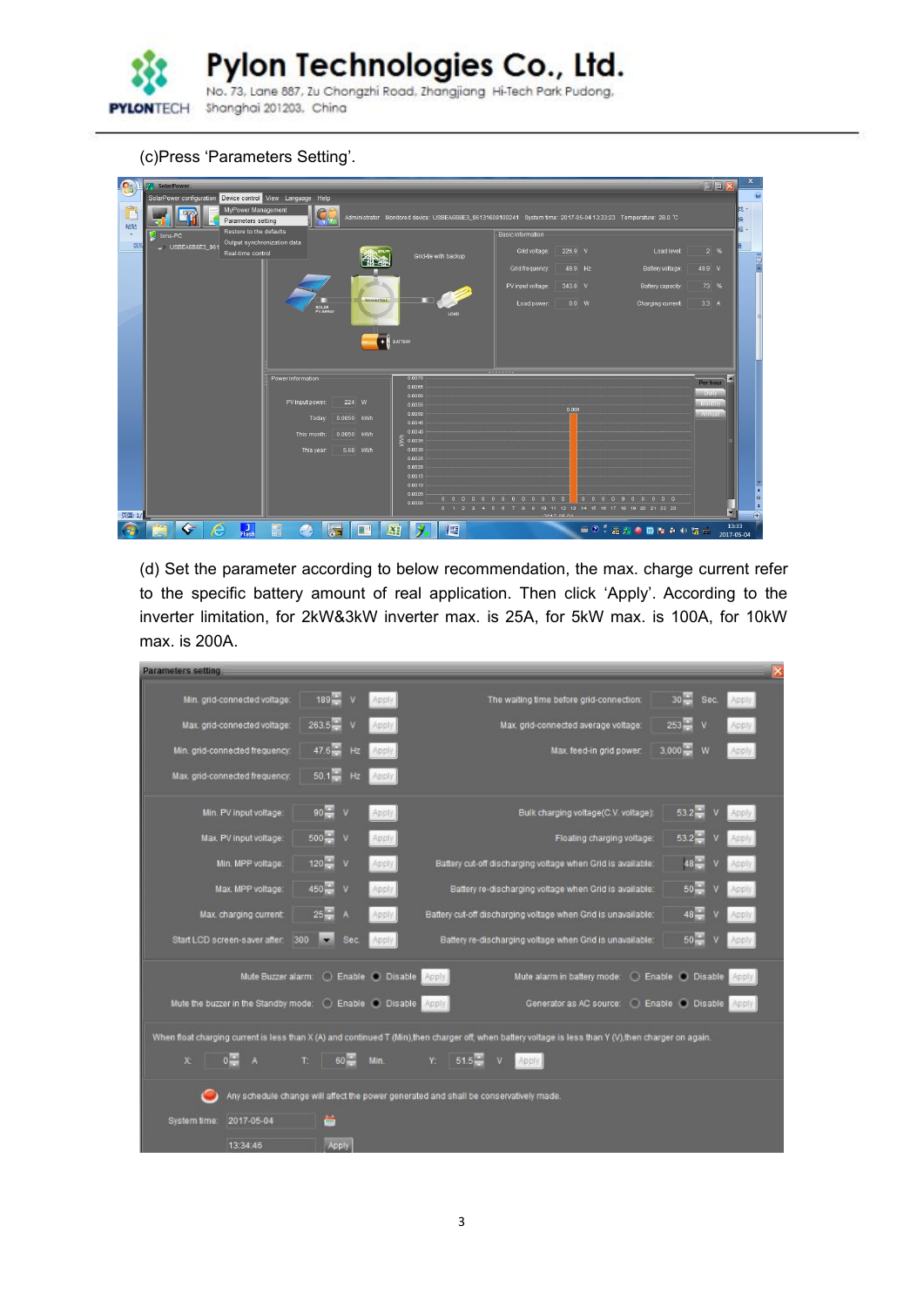

(c)Press 'Parameters Setting'.

| $G_{\mathrm{R}}$        | SolarPower                                                         |                   |            |                      |                                                                                                                 |                |                      | $\Box$ o $\mathbf{x}$   |                                        |
|-------------------------|--------------------------------------------------------------------|-------------------|------------|----------------------|-----------------------------------------------------------------------------------------------------------------|----------------|----------------------|-------------------------|----------------------------------------|
|                         | SolarPower configuration Device control View Language Help         |                   |            |                      |                                                                                                                 |                |                      |                         |                                        |
| <b>Tring</b><br>U<br>粘贴 | MyPower Management<br>Parameters setting                           | N                 |            |                      | Administrator Monitored device: USBEA6B8E3_96131608100241 System time: 2017-05-04 13:33:23 Temperature: 28.0 °C |                |                      |                         | 拢<br>區                                 |
|                         | Restore to the defaults<br>bms-PC                                  |                   |            |                      | <b>Basic information</b>                                                                                        |                |                      |                         | a                                      |
| 剪                       | Output synchronization data<br>USBEA6B8E3 961<br>Real-time control |                   |            | Grid-tie with backup | Grid voltage:                                                                                                   | 226.9 V        | Load level:          | 2%                      | $\bar{\mathbb{Z}}$                     |
|                         |                                                                    |                   |            |                      | Grid frequency.                                                                                                 | 49.9 Hz        | Battery voltage:     | 49.9 V                  |                                        |
|                         |                                                                    |                   |            |                      | PV input voltage:                                                                                               | 343.8 V        | Battery capacity:    | 73 %                    |                                        |
|                         |                                                                    | SOLAR<br>PV ARRAY | Inverter   | LOAD                 | Load power:                                                                                                     | 0.0 W          | Charging current:    | 3.3A                    |                                        |
|                         |                                                                    |                   |            |                      |                                                                                                                 |                |                      |                         |                                        |
|                         |                                                                    |                   |            | <b>BATTERY</b>       |                                                                                                                 |                |                      |                         |                                        |
|                         |                                                                    |                   |            |                      |                                                                                                                 |                |                      |                         |                                        |
|                         |                                                                    |                   |            |                      |                                                                                                                 |                |                      |                         |                                        |
|                         |                                                                    | Power information |            | 0.0070<br>0.0065     |                                                                                                                 |                |                      | Per hour                |                                        |
|                         |                                                                    | PV input power:   | 224 W      | 0.0060<br>0.0055     |                                                                                                                 |                |                      | Dally<br><b>Monthly</b> |                                        |
|                         |                                                                    | Today:            | 0.0050 KWh | 0.0050               |                                                                                                                 | 0.005          |                      | <b>Annual</b>           |                                        |
|                         |                                                                    |                   |            | 0.0045<br>0.0040     |                                                                                                                 |                |                      |                         |                                        |
|                         |                                                                    | This month:       | 0.0050 kWh | Ş<br>0.0035          |                                                                                                                 |                |                      |                         |                                        |
|                         |                                                                    | This year:        | 5.68 KWh   | 0.0030<br>0.0025     |                                                                                                                 |                |                      |                         |                                        |
|                         |                                                                    |                   |            | 0.0020               |                                                                                                                 |                |                      |                         |                                        |
|                         |                                                                    |                   |            | 0.0015<br>0.0010     |                                                                                                                 |                |                      |                         |                                        |
|                         |                                                                    |                   |            | 0.0005               |                                                                                                                 | $\overline{0}$ | 0 0 0 0 0 0 0 0 0 0  |                         | $\star$<br>$\circ$                     |
| 页面: 1/                  |                                                                    |                   |            | 0.0000               | 0 1 2 3 4 5 6 7 8 9 10 11 12 13 14 15 16 17 18 19 20 21 22 23                                                   |                |                      | ◥                       | $\overline{\bullet}$<br>$\overline{r}$ |
|                         | ⊱                                                                  |                   |            |                      |                                                                                                                 | 3017.05.04     |                      | 13:33                   |                                        |
|                         | $L_{\text{Hash}}$<br>e                                             | H<br>Z            |            | 坚<br>×į              |                                                                                                                 |                | <b>SO : RAODRAOM</b> | 2017-05-04              |                                        |

(d) Set the parameter according to below recommendation, the max. charge current refer to the specific battery amount of real application. Then click 'Apply'. According to the inverter limitation, for 2kW&3kW inverter max. is 25A, for 5kW max. is 100A, for 10kW max. is 200A.

| Parameters setting                                        |                                         |                         |                                                                                                                                                         |                         |              |
|-----------------------------------------------------------|-----------------------------------------|-------------------------|---------------------------------------------------------------------------------------------------------------------------------------------------------|-------------------------|--------------|
| Min. grid-connected voltage:                              | $189 -$<br>$\mathbf{v}$                 | Apply.                  | The waiting time before grid-connection:                                                                                                                | $30 -$<br>Sec.          | Apply        |
| Max. grid-connected voltage:                              | $263.5 -$                               | Apply                   | Max. grid-connected average voltage:                                                                                                                    | $253 -$<br>v            | Apply        |
| Min. grid-connected frequency:                            | $47.6 -$<br>Hz                          | Apply                   | Max feed-in grid power                                                                                                                                  | $3,000 -$<br>w          | <b>Apply</b> |
| Max. grid-connected frequency:                            | $50.1 -$<br>Hz                          | Apply                   |                                                                                                                                                         |                         |              |
| Min. PV input voltage:                                    | $90 -$<br>$\mathbf{v}$                  | Apply.                  | Bulk charging voltage(C.V. voltage):                                                                                                                    | $53.2 -$<br>$\mathbf v$ | Apply.       |
| Max. PV input voltage.                                    | $500 -$<br>v                            | Apply                   | Floating charging voltage:                                                                                                                              | $53.2 -$                | Apply        |
| Min. MPP voltage:                                         | $120 -$<br>V                            | Apply                   | Battery cut-off discharging voltage when Grid is available:                                                                                             |                         | <b>Apply</b> |
| Max. MPP voltage:                                         | $450 -$<br>$\overline{\mathbf{v}}$      | Apply                   | Battery re-discharging voltage when Grid is available:                                                                                                  | $50 -$                  | Apply        |
| Max. charging current:                                    | A<br>252                                | Apply.                  | Battery cut-off discharging voltage when Grid is unavailable:                                                                                           | $48 -$                  | Apply        |
| Start LCD screen-saver after:                             | 300<br>Sec.<br>$\overline{\phantom{a}}$ | Apply.                  | Battery re-discharging voltage when Grid is unavailable:                                                                                                | $50 -$                  | Apply        |
| Mute Buzzer alarm:                                        | $O$ Enable $O$                          | <b>Disable</b><br>Apply | Mute alarm in battery mode.                                                                                                                             | C Enable C Disable      | Apply.       |
| Mute the buzzer in the Standby mode: ( Enable ( Disable ) |                                         | Apply.                  | Generator as AC source: O Enable C Disable Apply                                                                                                        |                         |              |
|                                                           |                                         |                         | When float charging current is less than X (A) and continued T (Min), then charger off, when battery voltage is less than Y (V), then charger on again. |                         |              |
| $\mathbf{x}$<br>A                                         | 60<br>$E_{\perp}$                       | Min.<br>Y.              | $51.5 -$<br>Apply.                                                                                                                                      |                         |              |
|                                                           |                                         |                         | Any schedule change will affect the power generated and shall be conservatively made.                                                                   |                         |              |
| 2017-05-04<br>System time:                                | ä                                       |                         |                                                                                                                                                         |                         |              |
| 13:34:46                                                  | Apply                                   |                         |                                                                                                                                                         |                         |              |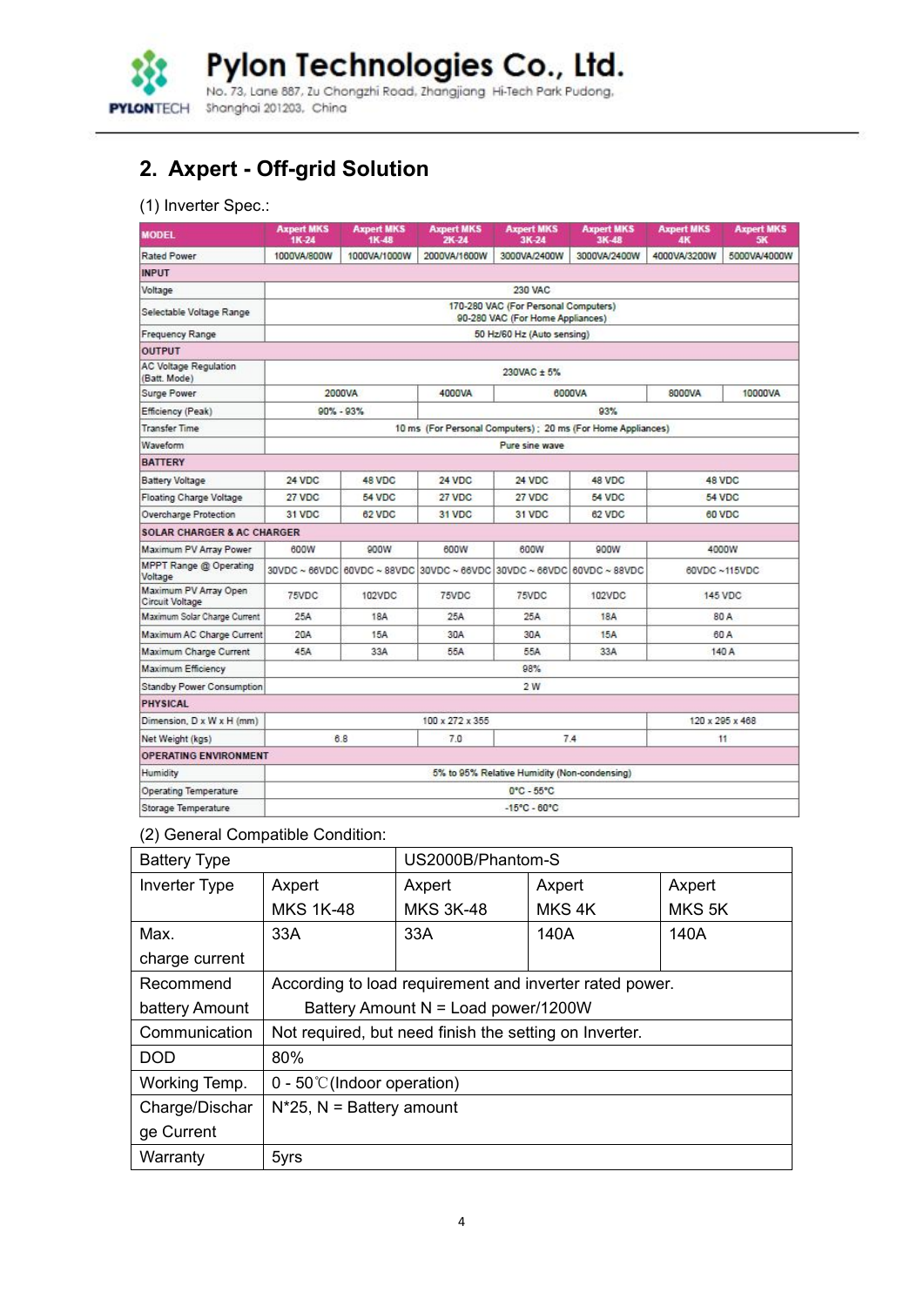

Pylon Technologies Co., Ltd.<br>No. 73, Lane 887, 2u Chongzhi Road, Zhangjiang Hi-Tech Park Pudong.

# **2. Axpert - Off-grid Solution**

## (1) Inverter Spec.:

| <b>MODEL</b>                                 | <b>Axpert MKS</b><br>1K-24 | <b>Axpert MKS</b><br>1K-48 | <b>Axpert MKS</b><br>$2K-24$                                                  | <b>Axpert MKS</b><br>3K-24                                               | <b>Axpert MKS</b><br>3K-48                                  | <b>Axpert MKS</b><br><b>AK</b> | <b>Axpert MKS</b><br>5K |
|----------------------------------------------|----------------------------|----------------------------|-------------------------------------------------------------------------------|--------------------------------------------------------------------------|-------------------------------------------------------------|--------------------------------|-------------------------|
| Rated Power                                  | 1000VA/800W                | 1000VA/1000W               | 2000VA/1600W                                                                  | 3000VA/2400W                                                             | 3000VA/2400W                                                | 4000VA/3200W                   | 5000VA/4000W            |
| <b>INPUT</b>                                 |                            |                            |                                                                               |                                                                          |                                                             |                                |                         |
| Voltage                                      |                            |                            |                                                                               | 230 VAC                                                                  |                                                             |                                |                         |
| Selectable Voltage Range                     |                            |                            |                                                                               | 170-280 VAC (For Personal Computers)<br>90-280 VAC (For Home Appliances) |                                                             |                                |                         |
| <b>Frequency Range</b>                       |                            |                            |                                                                               | 50 Hz/60 Hz (Auto sensing)                                               |                                                             |                                |                         |
| <b>OUTPUT</b>                                |                            |                            |                                                                               |                                                                          |                                                             |                                |                         |
| <b>AC Voltage Regulation</b><br>(Batt. Mode) |                            |                            |                                                                               | 230VAC ± 5%                                                              |                                                             |                                |                         |
| Surge Power                                  |                            | 2000VA                     | 4000VA                                                                        |                                                                          | 6000VA                                                      | 8000VA                         | 10000VA                 |
| Efficiency (Peak)                            | $90\% - 93\%$              |                            |                                                                               |                                                                          | 93%                                                         |                                |                         |
| <b>Transfer Time</b>                         |                            |                            |                                                                               |                                                                          | 10 ms (For Personal Computers); 20 ms (For Home Appliances) |                                |                         |
| Waveform                                     |                            |                            |                                                                               | Pure sine wave                                                           |                                                             |                                |                         |
| <b>BATTERY</b>                               |                            |                            |                                                                               |                                                                          |                                                             |                                |                         |
| <b>Battery Voltage</b>                       | 24 VDC                     | 48 VDC                     | <b>24 VDC</b>                                                                 | 24 VDC                                                                   | 48 VDC                                                      |                                | 48 VDC                  |
| <b>Floating Charge Voltage</b>               | 27 VDC                     | 54 VDC                     | 27 VDC                                                                        | 27 VDC                                                                   | 54 VDC                                                      |                                | <b>54 VDC</b>           |
| Overcharge Protection                        | 31 VDC                     | 62 VDC                     | 31 VDC                                                                        | 31 VDC                                                                   | 62 VDC                                                      | 60 VDC                         |                         |
| <b>SOLAR CHARGER &amp; AC CHARGER</b>        |                            |                            |                                                                               |                                                                          |                                                             |                                |                         |
| Maximum PV Array Power                       | 600W                       | 900W                       | 600W                                                                          | 600W                                                                     | 900W                                                        |                                | 4000W                   |
| MPPT Range @ Operating<br>Voltage            |                            |                            | 30VDC ~ 66VDC   60VDC ~ 88VDC   30VDC ~ 66VDC   30VDC ~ 66VDC   60VDC ~ 88VDC |                                                                          |                                                             |                                | 60VDC ~115VDC           |
| Maximum PV Array Open<br>Circuit Voltage     | 75VDC                      | 102VDC                     | 75VDC                                                                         | 75VDC                                                                    | 102VDC                                                      |                                | 145 VDC                 |
| Maximum Solar Charge Current                 | 25A                        | 18A                        | 25A                                                                           | 25A                                                                      | <b>18A</b>                                                  |                                | 80 A                    |
| Maximum AC Charge Current                    | 20A                        | 15A                        | 30A                                                                           | 30A                                                                      | 15A                                                         |                                | 60 A                    |
| Maximum Charge Current                       | 45A                        | 33A                        | 55A                                                                           | 55A                                                                      | 33A                                                         |                                | 140 A                   |
| <b>Maximum Efficiency</b>                    |                            |                            |                                                                               | 98%                                                                      |                                                             |                                |                         |
| Standby Power Consumption                    |                            |                            |                                                                               | 2 W                                                                      |                                                             |                                |                         |
| <b>PHYSICAL</b>                              |                            |                            |                                                                               |                                                                          |                                                             |                                |                         |
| Dimension, D x W x H (mm)                    |                            |                            | 100 x 272 x 355                                                               |                                                                          |                                                             |                                | 120 x 295 x 468         |
| Net Weight (kgs)                             |                            | 6.8                        | 7.0                                                                           |                                                                          | 7.4                                                         |                                | 11                      |
| OPERATING ENVIRONMENT                        |                            |                            |                                                                               |                                                                          |                                                             |                                |                         |
| Humidity                                     |                            |                            |                                                                               | 5% to 95% Relative Humidity (Non-condensing)                             |                                                             |                                |                         |
| <b>Operating Temperature</b>                 |                            |                            |                                                                               | $0^{\circ}$ C - 55 $^{\circ}$ C                                          |                                                             |                                |                         |
| Storage Temperature                          |                            |                            |                                                                               | $-15^{\circ}$ C - 60 $^{\circ}$ C                                        |                                                             |                                |                         |

## (2) General Compatible Condition:

| <b>Battery Type</b> |                                                        | US2000B/Phantom-S                                       |                   |                    |  |  |
|---------------------|--------------------------------------------------------|---------------------------------------------------------|-------------------|--------------------|--|--|
| Inverter Type       | Axpert                                                 | Axpert<br>Axpert<br>Axpert                              |                   |                    |  |  |
|                     | <b>MKS 1K-48</b>                                       | <b>MKS 3K-48</b>                                        | MKS <sub>4K</sub> | MKS <sub>5</sub> K |  |  |
| Max.                | 33A                                                    | 33A                                                     | 140A              | 140A               |  |  |
| charge current      |                                                        |                                                         |                   |                    |  |  |
| Recommend           |                                                        | According to load requirement and inverter rated power. |                   |                    |  |  |
| battery Amount      | Battery Amount N = Load power/1200W                    |                                                         |                   |                    |  |  |
| Communication       | Not required, but need finish the setting on Inverter. |                                                         |                   |                    |  |  |
| <b>DOD</b>          | 80%                                                    |                                                         |                   |                    |  |  |
| Working Temp.       | $0 - 50^{\circ}$ (Indoor operation)                    |                                                         |                   |                    |  |  |
| Charge/Dischar      | $N^*25$ , N = Battery amount                           |                                                         |                   |                    |  |  |
| ge Current          |                                                        |                                                         |                   |                    |  |  |
| Warranty            | 5yrs                                                   |                                                         |                   |                    |  |  |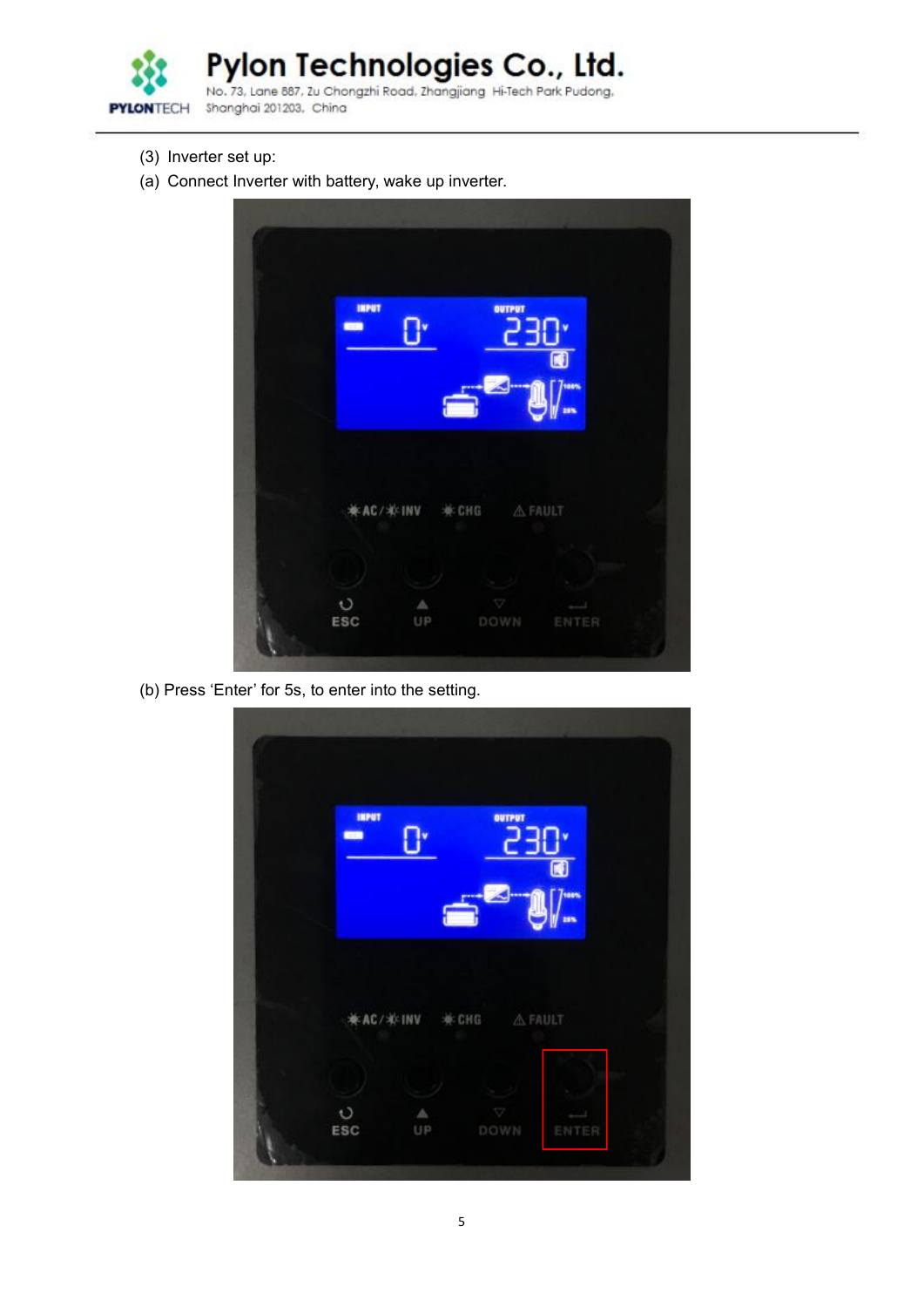

Pylon Technologies Co., Ltd.<br>No. 73, Lane 887, Zu Chongzhi Road, Zhangjiang Hi-Tech Park Pudong.

Shanghai 201203, China

- (3) Inverter set up:
- (a) Connect Inverter with battery, wake up inverter.



(b) Press 'Enter' for 5s, to enter into the setting.